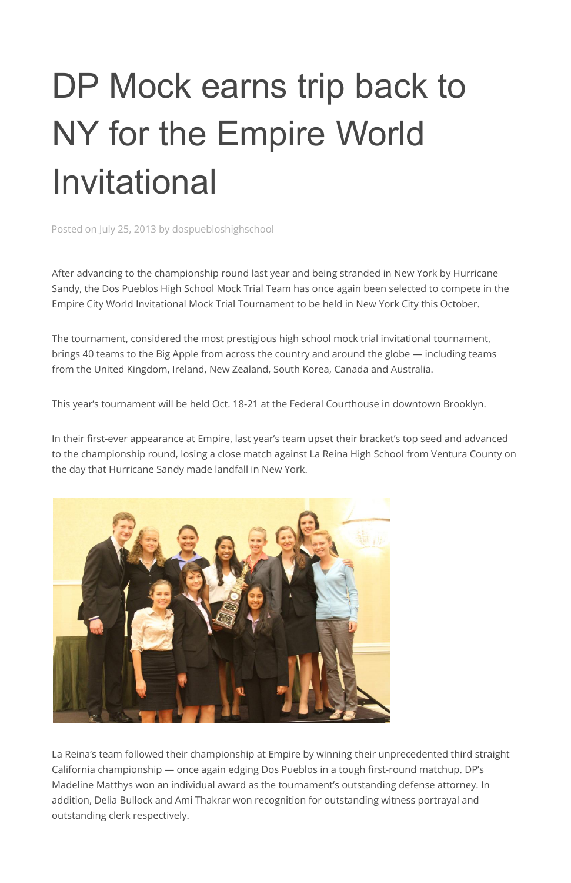## DP Mock earns trip back to NY for the Empire World Invitational

Posted on July 25, 2013 by dospuebloshighschool

After advancing to the championship round last year and being stranded in New York by Hurricane Sandy, the Dos Pueblos High School Mock Trial Team has once again been selected to compete in the Empire City World Invitational Mock Trial Tournament to be held in New York City this October.

The tournament, considered the most prestigious high school mock trial invitational tournament, brings 40 teams to the Big Apple from across the country and around the globe — including teams from the United Kingdom, Ireland, New Zealand, South Korea, Canada and Australia.

This year's tournament will be held Oct. 18-21 at the Federal Courthouse in downtown Brooklyn.

In their first-ever appearance at Empire, last year's team upset their bracket's top seed and advanced to the championship round, losing a close match against La Reina High School from Ventura County on the day that Hurricane Sandy made landfall in New York.



La Reina's team followed their championship at Empire by winning their unprecedented third straight California championship — once again edging Dos Pueblos in a tough first-round matchup. DP's Madeline Matthys won an individual award as the tournament's outstanding defense attorney. In addition, Delia Bullock and Ami Thakrar won recognition for outstanding witness portrayal and outstanding clerk respectively.